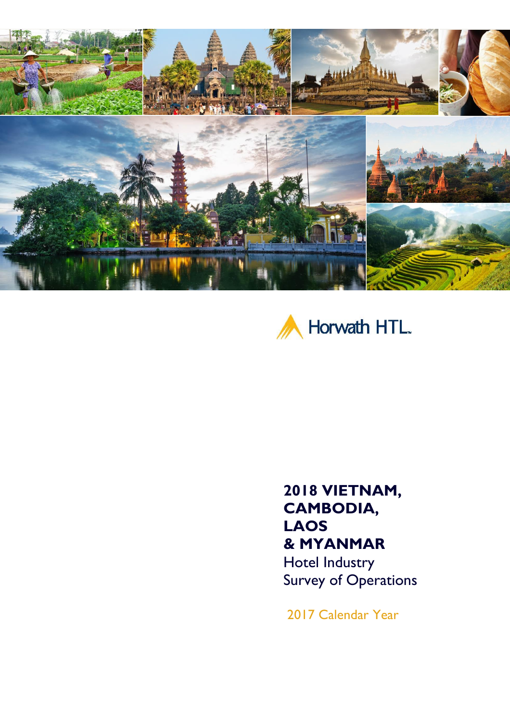



## **2018 VIETNAM, CAMBODIA, LAOS & MYANMAR**

Hotel Industry Survey of Operations

2017 Calendar Year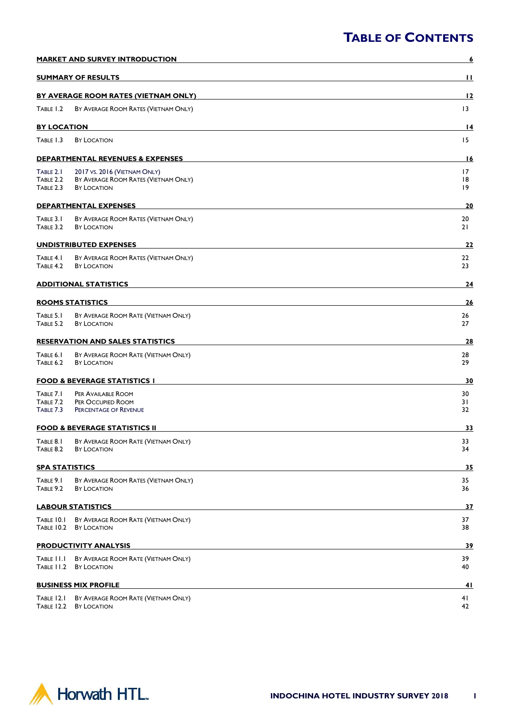| <b>MARKET AND SURVEY INTRODUCTION</b> |                                                                                            | <u>6</u>       |
|---------------------------------------|--------------------------------------------------------------------------------------------|----------------|
|                                       | <b>SUMMARY OF RESULTS</b>                                                                  | $\mathbf{H}$   |
|                                       | <b>BY AVERAGE ROOM RATES (VIETNAM ONLY)</b>                                                | 12             |
| TABLE 1.2                             | BY AVERAGE ROOM RATES (VIETNAM ONLY)                                                       | 13             |
| <b>BY LOCATION</b>                    |                                                                                            | 14             |
| TABLE 1.3                             | <b>BY LOCATION</b>                                                                         | 15             |
|                                       | <b>DEPARTMENTAL REVENUES &amp; EXPENSES</b>                                                | <u>16</u>      |
| TABLE 2.1<br>TABLE 2.2<br>TABLE 2.3   | 2017 VS. 2016 (VIETNAM ONLY)<br>BY AVERAGE ROOM RATES (VIETNAM ONLY)<br><b>BY LOCATION</b> | 17<br>18<br>19 |
|                                       | <b>DEPARTMENTAL EXPENSES</b>                                                               | 20             |
| TABLE 3.1<br>TABLE 3.2                | BY AVERAGE ROOM RATES (VIETNAM ONLY)<br><b>BY LOCATION</b>                                 | 20<br>21       |
| <b>UNDISTRIBUTED EXPENSES</b>         |                                                                                            | <u>22</u>      |
| TABLE 4.1<br>TABLE 4.2                | BY AVERAGE ROOM RATES (VIETNAM ONLY)<br><b>BY LOCATION</b>                                 | 22<br>23       |
|                                       | <b>ADDITIONAL STATISTICS</b>                                                               | 24             |
|                                       | <b>ROOMS STATISTICS</b>                                                                    | 26             |
| TABLE 5.1<br>TABLE 5.2                | BY AVERAGE ROOM RATE (VIETNAM ONLY)<br><b>BY LOCATION</b>                                  | 26<br>27       |
|                                       | <b>RESERVATION AND SALES STATISTICS</b>                                                    | 28             |
| TABLE 6.1<br>TABLE 6.2                | BY AVERAGE ROOM RATE (VIETNAM ONLY)<br><b>BY LOCATION</b>                                  | 28<br>29       |
|                                       | <b>FOOD &amp; BEVERAGE STATISTICS I</b>                                                    | 30             |
| TABLE 7.1<br>TABLE 7.2<br>TABLE 7.3   | PER AVAILABLE ROOM<br>PER OCCUPIED ROOM<br>PERCENTAGE OF REVENUE                           | 30<br>31<br>32 |
|                                       | <b>FOOD &amp; BEVERAGE STATISTICS II</b>                                                   | 33             |
| TABLE 8.1<br>TABLE 8.2                | BY AVERAGE ROOM RATE (VIETNAM ONLY)<br>BY LOCATION                                         | 33<br>34       |
| <b>SPA STATISTICS</b>                 |                                                                                            | <u>35</u>      |
| TABLE 9.1<br>TABLE 9.2                | BY AVERAGE ROOM RATES (VIETNAM ONLY)<br><b>BY LOCATION</b>                                 | 35<br>36       |
| <b>LABOUR STATISTICS</b>              |                                                                                            | <u>37</u>      |
| TABLE 10.1<br><b>TABLE 10.2</b>       | BY AVERAGE ROOM RATE (VIETNAM ONLY)<br>BY LOCATION                                         | 37<br>38       |
|                                       | <b>PRODUCTIVITY ANALYSIS</b>                                                               | <u>39</u>      |
|                                       | TABLE II.I BY AVERAGE ROOM RATE (VIETNAM ONLY)<br>TABLE 11.2 BY LOCATION                   | 39<br>40       |
|                                       | <b>BUSINESS MIX PROFILE</b>                                                                | 4 I            |
| TABLE 12.1<br><b>TABLE 12.2</b>       | BY AVERAGE ROOM RATE (VIETNAM ONLY)<br>BY LOCATION                                         | 41<br>42       |

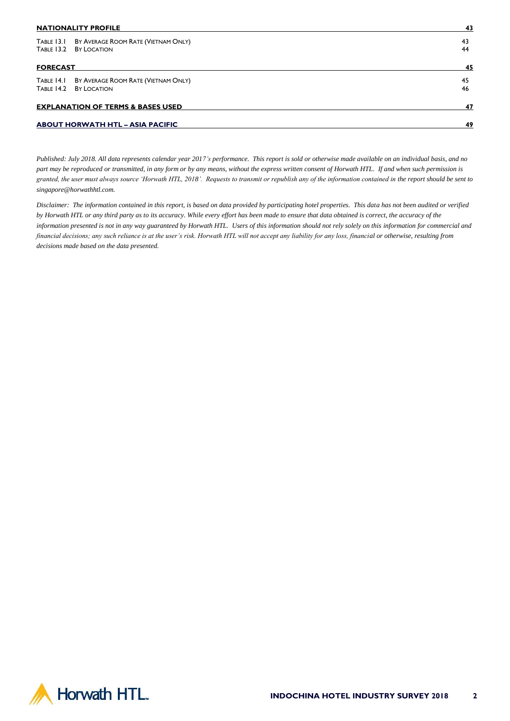| <b>NATIONALITY PROFILE</b>                   |                                                | 43 |
|----------------------------------------------|------------------------------------------------|----|
|                                              | TABLE 13.1 BY AVERAGE ROOM RATE (VIETNAM ONLY) | 43 |
| TABLE 13.2                                   | BY LOCATION                                    | 44 |
| <b>FORECAST</b>                              |                                                | 45 |
|                                              | TABLE 14.1 BY AVERAGE ROOM RATE (VIETNAM ONLY) | 45 |
| TABLE 14.2                                   | <b>BY LOCATION</b>                             | 46 |
| <b>EXPLANATION OF TERMS &amp; BASES USED</b> |                                                | 47 |
|                                              | <b>ABOUT HORWATH HTL - ASIA PACIFIC</b>        | 49 |

*Published: July 2018. All data represents calendar year 2017's performance. This report is sold or otherwise made available on an individual basis, and no part may be reproduced or transmitted, in any form or by any means, without the express written consent of Horwath HTL. If and when such permission is granted, the user must always source 'Horwath HTL, 2018'. Requests to transmit or republish any of the information contained in the report should be sent to singapore@horwathhtl.com.* 

*Disclaimer: The information contained in this report, is based on data provided by participating hotel properties. This data has not been audited or verified by Horwath HTL or any third party as to its accuracy. While every effort has been made to ensure that data obtained is correct, the accuracy of the information presented is not in any way guaranteed by Horwath HTL. Users of this information should not rely solely on this information for commercial and financial decisions; any such reliance is at the user's risk. Horwath HTL will not accept any liability for any loss, financial or otherwise, resulting from decisions made based on the data presented.*